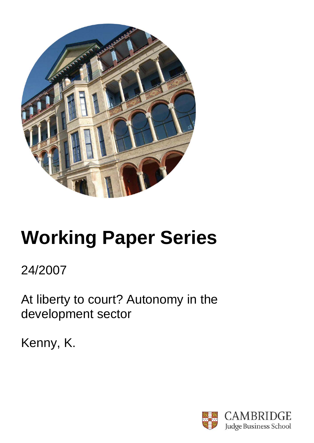

# **Working Paper Series**

24/2007

At liberty to court? Autonomy in the development sector

Kenny, K.

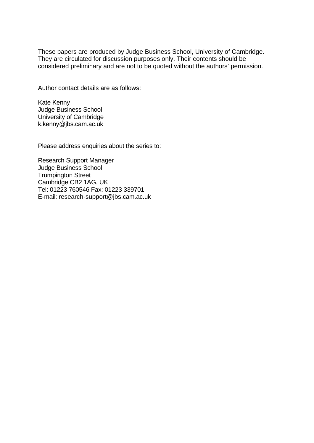These papers are produced by Judge Business School, University of Cambridge. They are circulated for discussion purposes only. Their contents should be considered preliminary and are not to be quoted without the authors' permission.

Author contact details are as follows:

Kate Kenny Judge Business School University of Cambridge k.kenny@jbs.cam.ac.uk

Please address enquiries about the series to:

Research Support Manager Judge Business School Trumpington Street Cambridge CB2 1AG, UK Tel: 01223 760546 Fax: 01223 339701 E-mail: research-support@jbs.cam.ac.uk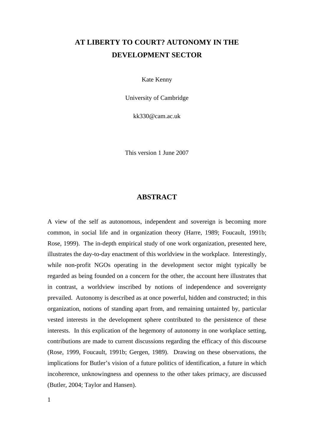# **AT LIBERTY TO COURT? AUTONOMY IN THE DEVELOPMENT SECTOR**

Kate Kenny

University of Cambridge

kk330@cam.ac.uk

This version 1 June 2007

# **ABSTRACT**

A view of the self as autonomous, independent and sovereign is becoming more common, in social life and in organization theory (Harre, 1989; Foucault, 1991b; Rose, 1999). The in-depth empirical study of one work organization, presented here, illustrates the day-to-day enactment of this worldview in the workplace. Interestingly, while non-profit NGOs operating in the development sector might typically be regarded as being founded on a concern for the other, the account here illustrates that in contrast, a worldview inscribed by notions of independence and sovereignty prevailed. Autonomy is described as at once powerful, hidden and constructed; in this organization, notions of standing apart from, and remaining untainted by, particular vested interests in the development sphere contributed to the persistence of these interests. In this explication of the hegemony of autonomy in one workplace setting, contributions are made to current discussions regarding the efficacy of this discourse (Rose, 1999, Foucault, 1991b; Gergen, 1989). Drawing on these observations, the implications for Butler's vision of a future politics of identification, a future in which incoherence, unknowingness and openness to the other takes primacy, are discussed (Butler, 2004; Taylor and Hansen).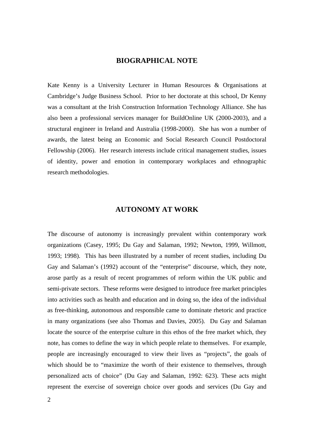## **BIOGRAPHICAL NOTE**

Kate Kenny is a University Lecturer in Human Resources & Organisations at Cambridge's Judge Business School. Prior to her doctorate at this school, Dr Kenny was a consultant at the Irish Construction Information Technology Alliance. She has also been a professional services manager for BuildOnline UK (2000-2003), and a structural engineer in Ireland and Australia (1998-2000). She has won a number of awards, the latest being an Economic and Social Research Council Postdoctoral Fellowship (2006). Her research interests include critical management studies, issues of identity, power and emotion in contemporary workplaces and ethnographic research methodologies.

## **AUTONOMY AT WORK**

The discourse of autonomy is increasingly prevalent within contemporary work organizations (Casey, 1995; Du Gay and Salaman, 1992; Newton, 1999, Willmott, 1993; 1998). This has been illustrated by a number of recent studies, including Du Gay and Salaman's (1992) account of the "enterprise" discourse, which, they note, arose partly as a result of recent programmes of reform within the UK public and semi-private sectors. These reforms were designed to introduce free market principles into activities such as health and education and in doing so, the idea of the individual as free-thinking, autonomous and responsible came to dominate rhetoric and practice in many organizations (see also Thomas and Davies, 2005). Du Gay and Salaman locate the source of the enterprise culture in this ethos of the free market which, they note, has comes to define the way in which people relate to themselves. For example, people are increasingly encouraged to view their lives as "projects", the goals of which should be to "maximize the worth of their existence to themselves, through personalized acts of choice" (Du Gay and Salaman, 1992: 623). These acts might represent the exercise of sovereign choice over goods and services (Du Gay and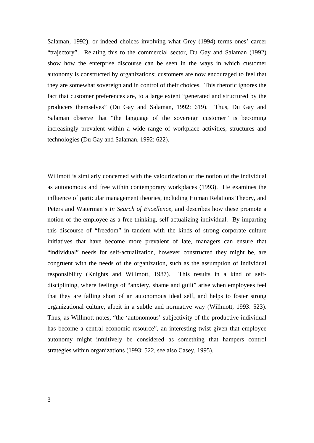Salaman, 1992), or indeed choices involving what Grey (1994) terms ones' career "trajectory". Relating this to the commercial sector, Du Gay and Salaman (1992) show how the enterprise discourse can be seen in the ways in which customer autonomy is constructed by organizations; customers are now encouraged to feel that they are somewhat sovereign and in control of their choices. This rhetoric ignores the fact that customer preferences are, to a large extent "generated and structured by the producers themselves" (Du Gay and Salaman, 1992: 619). Thus, Du Gay and Salaman observe that "the language of the sovereign customer" is becoming increasingly prevalent within a wide range of workplace activities, structures and technologies (Du Gay and Salaman, 1992: 622).

Willmott is similarly concerned with the valourization of the notion of the individual as autonomous and free within contemporary workplaces (1993). He examines the influence of particular management theories, including Human Relations Theory, and Peters and Waterman's *In Search of Excellence,* and describes how these promote a notion of the employee as a free-thinking, self-actualizing individual. By imparting this discourse of "freedom" in tandem with the kinds of strong corporate culture initiatives that have become more prevalent of late, managers can ensure that "individual" needs for self-actualization, however constructed they might be, are congruent with the needs of the organization, such as the assumption of individual responsibility (Knights and Willmott, 1987). This results in a kind of selfdisciplining, where feelings of "anxiety, shame and guilt" arise when employees feel that they are falling short of an autonomous ideal self, and helps to foster strong organizational culture, albeit in a subtle and normative way (Willmott, 1993: 523). Thus, as Willmott notes, "the 'autonomous' subjectivity of the productive individual has become a central economic resource", an interesting twist given that employee autonomy might intuitively be considered as something that hampers control strategies within organizations (1993: 522, see also Casey, 1995).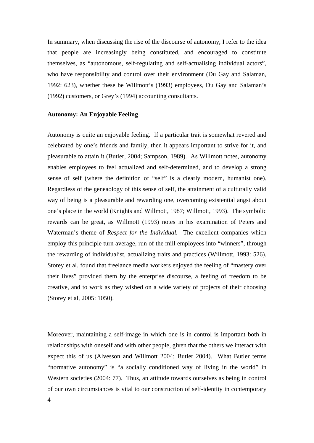In summary, when discussing the rise of the discourse of autonomy, I refer to the idea that people are increasingly being constituted, and encouraged to constitute themselves, as "autonomous, self-regulating and self-actualising individual actors", who have responsibility and control over their environment (Du Gay and Salaman, 1992: 623), whether these be Willmott's (1993) employees, Du Gay and Salaman's (1992) customers, or Grey's (1994) accounting consultants.

### **Autonomy: An Enjoyable Feeling**

Autonomy is quite an enjoyable feeling. If a particular trait is somewhat revered and celebrated by one's friends and family, then it appears important to strive for it, and pleasurable to attain it (Butler, 2004; Sampson, 1989). As Willmott notes, autonomy enables employees to feel actualized and self-determined, and to develop a strong sense of self (where the definition of "self" is a clearly modern, humanist one). Regardless of the geneaology of this sense of self, the attainment of a culturally valid way of being is a pleasurable and rewarding one, overcoming existential angst about one's place in the world (Knights and Willmott, 1987; Willmott, 1993). The symbolic rewards can be great, as Willmott (1993) notes in his examination of Peters and Waterman's theme of *Respect for the Individual.* The excellent companies which employ this principle turn average, run of the mill employees into "winners", through the rewarding of individualist, actualizing traits and practices (Willmott, 1993: 526). Storey et al. found that freelance media workers enjoyed the feeling of "mastery over their lives" provided them by the enterprise discourse, a feeling of freedom to be creative, and to work as they wished on a wide variety of projects of their choosing (Storey et al, 2005: 1050).

Moreover, maintaining a self-image in which one is in control is important both in relationships with oneself and with other people, given that the others we interact with expect this of us (Alvesson and Willmott 2004; Butler 2004). What Butler terms "normative autonomy" is "a socially conditioned way of living in the world" in Western societies (2004: 77). Thus, an attitude towards ourselves as being in control of our own circumstances is vital to our construction of self-identity in contemporary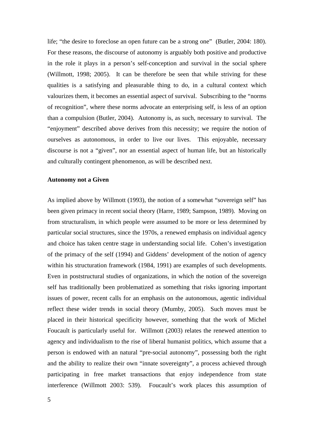life; "the desire to foreclose an open future can be a strong one" (Butler, 2004: 180). For these reasons, the discourse of autonomy is arguably both positive and productive in the role it plays in a person's self-conception and survival in the social sphere (Willmott, 1998; 2005). It can be therefore be seen that while striving for these qualities is a satisfying and pleasurable thing to do, in a cultural context which valourizes them, it becomes an essential aspect of survival. Subscribing to the "norms of recognition", where these norms advocate an enterprising self, is less of an option than a compulsion (Butler, 2004). Autonomy is, as such, necessary to survival. The "enjoyment" described above derives from this necessity; we require the notion of ourselves as autonomous, in order to live our lives. This enjoyable, necessary discourse is not a "given", nor an essential aspect of human life, but an historically and culturally contingent phenomenon, as will be described next.

#### **Autonomy not a Given**

As implied above by Willmott (1993), the notion of a somewhat "sovereign self" has been given primacy in recent social theory (Harre, 1989; Sampson, 1989). Moving on from structuralism, in which people were assumed to be more or less determined by particular social structures, since the 1970s, a renewed emphasis on individual agency and choice has taken centre stage in understanding social life. Cohen's investigation of the primacy of the self (1994) and Giddens' development of the notion of agency within his structuration framework (1984, 1991) are examples of such developments. Even in poststructural studies of organizations, in which the notion of the sovereign self has traditionally been problematized as something that risks ignoring important issues of power, recent calls for an emphasis on the autonomous, agentic individual reflect these wider trends in social theory (Mumby, 2005). Such moves must be placed in their historical specificity however, something that the work of Michel Foucault is particularly useful for. Willmott (2003) relates the renewed attention to agency and individualism to the rise of liberal humanist politics, which assume that a person is endowed with an natural "pre-social autonomy", possessing both the right and the ability to realize their own "innate sovereignty", a process achieved through participating in free market transactions that enjoy independence from state interference (Willmott 2003: 539). Foucault's work places this assumption of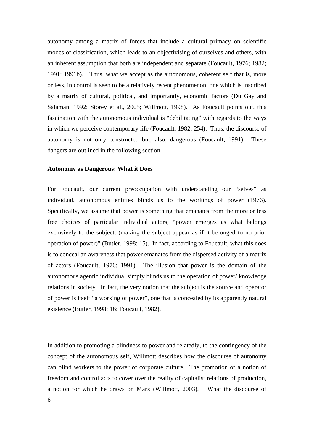autonomy among a matrix of forces that include a cultural primacy on scientific modes of classification, which leads to an objectivising of ourselves and others, with an inherent assumption that both are independent and separate (Foucault, 1976; 1982; 1991; 1991b). Thus, what we accept as the autonomous, coherent self that is, more or less, in control is seen to be a relatively recent phenomenon, one which is inscribed by a matrix of cultural, political, and importantly, economic factors (Du Gay and Salaman, 1992; Storey et al., 2005; Willmott, 1998). As Foucault points out, this fascination with the autonomous individual is "debilitating" with regards to the ways in which we perceive contemporary life (Foucault, 1982: 254). Thus, the discourse of autonomy is not only constructed but, also, dangerous (Foucault, 1991). These dangers are outlined in the following section.

#### **Autonomy as Dangerous: What it Does**

For Foucault, our current preoccupation with understanding our "selves" as individual, autonomous entities blinds us to the workings of power (1976). Specifically, we assume that power is something that emanates from the more or less free choices of particular individual actors, "power emerges as what belongs exclusively to the subject, (making the subject appear as if it belonged to no prior operation of power)" (Butler, 1998: 15). In fact, according to Foucault, what this does is to conceal an awareness that power emanates from the dispersed activity of a matrix of actors (Foucault, 1976; 1991). The illusion that power is the domain of the autonomous agentic individual simply blinds us to the operation of power/ knowledge relations in society. In fact, the very notion that the subject is the source and operator of power is itself "a working of power", one that is concealed by its apparently natural existence (Butler, 1998: 16; Foucault, 1982).

In addition to promoting a blindness to power and relatedly, to the contingency of the concept of the autonomous self, Willmott describes how the discourse of autonomy can blind workers to the power of corporate culture. The promotion of a notion of freedom and control acts to cover over the reality of capitalist relations of production, a notion for which he draws on Marx (Willmott, 2003). What the discourse of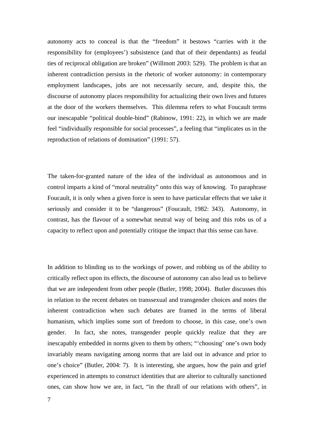autonomy acts to conceal is that the "freedom" it bestows "carries with it the responsibility for (employees') subsistence (and that of their dependants) as feudal ties of reciprocal obligation are broken" (Willmott 2003: 529). The problem is that an inherent contradiction persists in the rhetoric of worker autonomy: in contemporary employment landscapes, jobs are not necessarily secure, and, despite this, the discourse of autonomy places responsibility for actualizing their own lives and futures at the door of the workers themselves. This dilemma refers to what Foucault terms our inescapable "political double-bind" (Rabinow, 1991: 22), in which we are made feel "individually responsible for social processes", a feeling that "implicates us in the reproduction of relations of domination" (1991: 57).

The taken-for-granted nature of the idea of the individual as autonomous and in control imparts a kind of "moral neutrality" onto this way of knowing. To paraphrase Foucault, it is only when a given force is seen to have particular effects that we take it seriously and consider it to be "dangerous" (Foucault, 1982: 343). Autonomy, in contrast, has the flavour of a somewhat neutral way of being and this robs us of a capacity to reflect upon and potentially critique the impact that this sense can have.

In addition to blinding us to the workings of power, and robbing us of the ability to critically reflect upon its effects, the discourse of autonomy can also lead us to believe that we are independent from other people (Butler, 1998; 2004). Butler discusses this in relation to the recent debates on transsexual and transgender choices and notes the inherent contradiction when such debates are framed in the terms of liberal humanism, which implies some sort of freedom to choose, in this case, one's own gender. In fact, she notes, transgender people quickly realize that they are inescapably embedded in norms given to them by others; "'choosing' one's own body invariably means navigating among norms that are laid out in advance and prior to one's choice" (Butler, 2004: 7). It is interesting, she argues, how the pain and grief experienced in attempts to construct identities that are alterior to culturally sanctioned ones, can show how we are, in fact, "in the thrall of our relations with others", in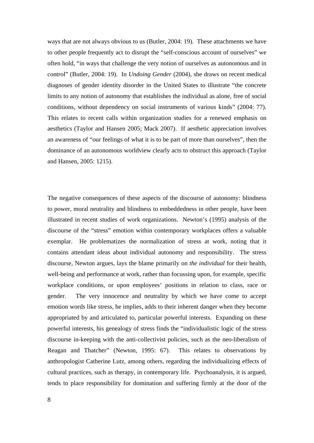ways that are not always obvious to us (Butler, 2004: 19). These attachments we have to other people frequently act to disrupt the "self-conscious account of ourselves" we often hold, "in ways that challenge the very notion of ourselves as autonomous and in control" (Butler, 2004: 19). In *Undoing Gender* (2004), she draws on recent medical diagnoses of gender identity disorder in the United States to illustrate "the concrete limits to any notion of autonomy that establishes the individual as alone, free of social conditions, without dependency on social instruments of various kinds" (2004: 77). This relates to recent calls within organization studies for a renewed emphasis on aesthetics (Taylor and Hansen 2005; Mack 2007). If aesthetic appreciation involves an awareness of "our feelings of what it is to be part of more than ourselves", then the dominance of an autonomous worldview clearly acts to obstruct this approach (Taylor and Hansen, 2005: 1215).

The negative consequences of these aspects of the discourse of autonomy: blindness to power, moral neutrality and blindness to embeddedness in other people, have been illustrated in recent studies of work organizations. Newton's (1995) analysis of the discourse of the "stress" emotion within contemporary workplaces offers a valuable exemplar. He problematizes the normalization of stress at work, noting that it contains attendant ideas about individual autonomy and responsibility. The stress discourse, Newton argues, lays the blame primarily on *the individual* for their health, well-being and performance at work, rather than focussing upon, for example, specific workplace conditions, or upon employees' positions in relation to class, race or gender. The very innocence and neutrality by which we have come to accept emotion words like stress, he implies, adds to their inherent danger when they become appropriated by and articulated to, particular powerful interests. Expanding on these powerful interests, his genealogy of stress finds the "individualistic logic of the stress discourse in-keeping with the anti-collectivist policies, such as the neo-liberalism of Reagan and Thatcher" (Newton, 1995: 67). This relates to observations by anthropologist Catherine Lutz, among others, regarding the individualizing effects of cultural practices, such as therapy, in contemporary life. Psychoanalysis, it is argued, tends to place responsibility for domination and suffering firmly at the door of the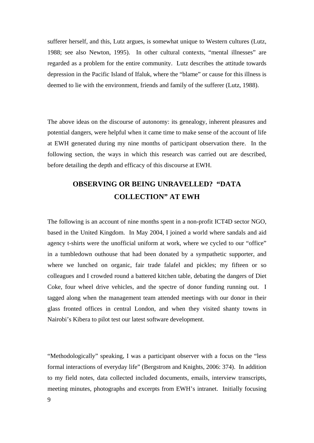sufferer herself, and this, Lutz argues, is somewhat unique to Western cultures (Lutz, 1988; see also Newton, 1995). In other cultural contexts, "mental illnesses" are regarded as a problem for the entire community. Lutz describes the attitude towards depression in the Pacific Island of Ifaluk, where the "blame" or cause for this illness is deemed to lie with the environment, friends and family of the sufferer (Lutz, 1988).

The above ideas on the discourse of autonomy: its genealogy, inherent pleasures and potential dangers, were helpful when it came time to make sense of the account of life at EWH generated during my nine months of participant observation there. In the following section, the ways in which this research was carried out are described, before detailing the depth and efficacy of this discourse at EWH.

# **OBSERVING OR BEING UNRAVELLED? "DATA COLLECTION" AT EWH**

The following is an account of nine months spent in a non-profit ICT4D sector NGO, based in the United Kingdom. In May 2004, I joined a world where sandals and aid agency t-shirts were the unofficial uniform at work, where we cycled to our "office" in a tumbledown outhouse that had been donated by a sympathetic supporter, and where we lunched on organic, fair trade falafel and pickles; my fifteen or so colleagues and I crowded round a battered kitchen table, debating the dangers of Diet Coke, four wheel drive vehicles, and the spectre of donor funding running out. I tagged along when the management team attended meetings with our donor in their glass fronted offices in central London, and when they visited shanty towns in Nairobi's Kibera to pilot test our latest software development.

"Methodologically" speaking, I was a participant observer with a focus on the "less formal interactions of everyday life" (Bergstrom and Knights, 2006: 374). In addition to my field notes, data collected included documents, emails, interview transcripts, meeting minutes, photographs and excerpts from EWH's intranet. Initially focusing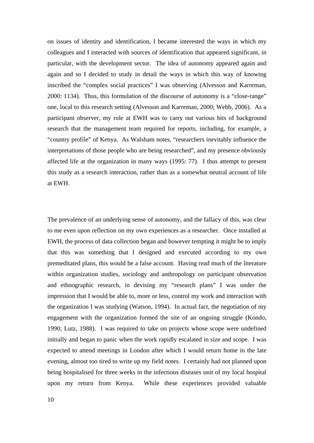on issues of identity and identification, I became interested the ways in which my colleagues and I interacted with sources of identification that appeared significant, in particular, with the development sector. The idea of autonomy appeared again and again and so I decided to study in detail the ways in which this way of knowing inscribed the "complex social practices" I was observing (Alvesson and Karreman, 2000: 1134). Thus, this formulation of the discourse of autonomy is a "close-range" one, local to this research setting (Alvesson and Karreman, 2000; Webb, 2006). As a participant observer, my role at EWH was to carry out various bits of background research that the management team required for reports, including, for example, a "country profile" of Kenya. As Walsham notes, "researchers inevitably influence the interpretations of those people who are being researched", and my presence obviously affected life at the organization in many ways (1995: 77). I thus attempt to present this study as a research interaction, rather than as a somewhat neutral account of life at EWH.

The prevalence of an underlying sense of autonomy, and the fallacy of this, was clear to me even upon reflection on my own experiences as a researcher. Once installed at EWH, the process of data collection began and however tempting it might be to imply that this was something that I designed and executed according to my own premeditated plans, this would be a false account. Having read much of the literature within organization studies, sociology and anthropology on participant observation and ethnographic research, in devising my "research plans" I was under the impression that I would be able to, more or less, control my work and interaction with the organization I was studying (Watson, 1994). In actual fact, the negotiation of my engagement with the organization formed the site of an ongoing struggle (Kondo, 1990; Lutz, 1988). I was required to take on projects whose scope were undefined initially and began to panic when the work rapidly escalated in size and scope. I was expected to attend meetings in London after which I would return home in the late evening, almost too tired to write up my field notes. I certainly had not planned upon being hospitalised for three weeks in the infectious diseases unit of my local hospital upon my return from Kenya. While these experiences provided valuable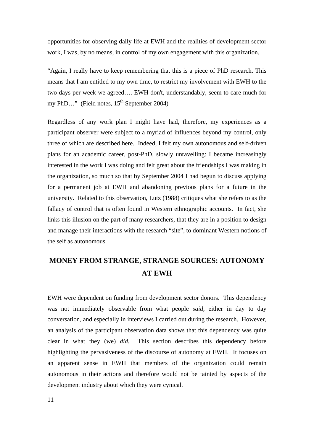opportunities for observing daily life at EWH and the realities of development sector work, I was, by no means, in control of my own engagement with this organization.

"Again, I really have to keep remembering that this is a piece of PhD research. This means that I am entitled to my own time, to restrict my involvement with EWH to the two days per week we agreed…. EWH don't, understandably, seem to care much for my PhD..." (Field notes,  $15^{th}$  September 2004)

Regardless of any work plan I might have had, therefore, my experiences as a participant observer were subject to a myriad of influences beyond my control, only three of which are described here. Indeed, I felt my own autonomous and self-driven plans for an academic career, post-PhD, slowly unravelling: I became increasingly interested in the work I was doing and felt great about the friendships I was making in the organization, so much so that by September 2004 I had begun to discuss applying for a permanent job at EWH and abandoning previous plans for a future in the university. Related to this observation, Lutz (1988) critiques what she refers to as the fallacy of control that is often found in Western ethnographic accounts. In fact, she links this illusion on the part of many researchers, that they are in a position to design and manage their interactions with the research "site", to dominant Western notions of the self as autonomous.

# **MONEY FROM STRANGE, STRANGE SOURCES: AUTONOMY AT EWH**

EWH were dependent on funding from development sector donors. This dependency was not immediately observable from what people *said,* either in day to day conversation, and especially in interviews I carried out during the research. However, an analysis of the participant observation data shows that this dependency was quite clear in what they (we) *did.* This section describes this dependency before highlighting the pervasiveness of the discourse of autonomy at EWH. It focuses on an apparent sense in EWH that members of the organization could remain autonomous in their actions and therefore would not be tainted by aspects of the development industry about which they were cynical.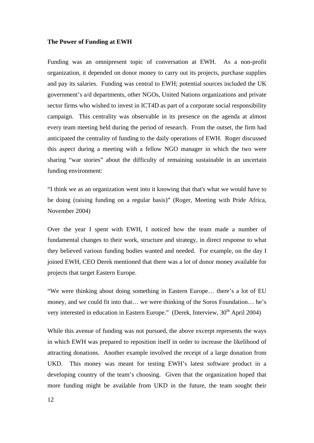#### **The Power of Funding at EWH**

Funding was an omnipresent topic of conversation at EWH. As a non-profit organization, it depended on donor money to carry out its projects, purchase supplies and pay its salaries. Funding was central to EWH; potential sources included the UK government's a/d departments, other NGOs, United Nations organizations and private sector firms who wished to invest in ICT4D as part of a corporate social responsibility campaign. This centrality was observable in its presence on the agenda at almost every team meeting held during the period of research. From the outset, the firm had anticipated the centrality of funding to the daily operations of EWH. Roger discussed this aspect during a meeting with a fellow NGO manager in which the two were sharing "war stories" about the difficulty of remaining sustainable in an uncertain funding environment:

"I think we as an organization went into it knowing that that's what we would have to be doing (raising funding on a regular basis)" (Roger, Meeting with Pride Africa, November 2004)

Over the year I spent with EWH, I noticed how the team made a number of fundamental changes to their work, structure and strategy, in direct response to what they believed various funding bodies wanted and needed. For example, on the day I joined EWH, CEO Derek mentioned that there was a lot of donor money available for projects that target Eastern Europe.

"We were thinking about doing something in Eastern Europe… there's a lot of EU money, and we could fit into that… we were thinking of the Soros Foundation… he's very interested in education in Eastern Europe." (Derek, Interview,  $30<sup>th</sup>$  April 2004)

While this avenue of funding was not pursued, the above excerpt represents the ways in which EWH was prepared to reposition itself in order to increase the likelihood of attracting donations. Another example involved the receipt of a large donation from UKD. This money was meant for testing EWH's latest software product in a developing country of the team's choosing. Given that the organization hoped that more funding might be available from UKD in the future, the team sought their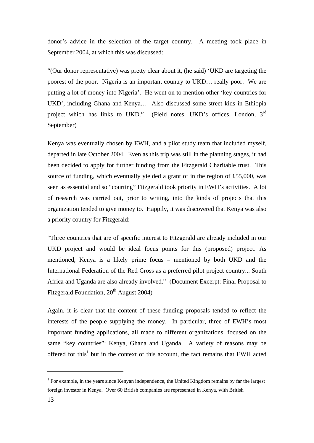donor's advice in the selection of the target country. A meeting took place in September 2004, at which this was discussed:

"(Our donor representative) was pretty clear about it, (he said) 'UKD are targeting the poorest of the poor. Nigeria is an important country to UKD… really poor. We are putting a lot of money into Nigeria'. He went on to mention other 'key countries for UKD', including Ghana and Kenya… Also discussed some street kids in Ethiopia project which has links to UKD." (Field notes, UKD's offices, London, 3<sup>rd</sup> September)

Kenya was eventually chosen by EWH, and a pilot study team that included myself, departed in late October 2004. Even as this trip was still in the planning stages, it had been decided to apply for further funding from the Fitzgerald Charitable trust. This source of funding, which eventually yielded a grant of in the region of £55,000, was seen as essential and so "courting" Fitzgerald took priority in EWH's activities. A lot of research was carried out, prior to writing, into the kinds of projects that this organization tended to give money to. Happily, it was discovered that Kenya was also a priority country for Fitzgerald:

"Three countries that are of specific interest to Fitzgerald are already included in our UKD project and would be ideal focus points for this (proposed) project. As mentioned, Kenya is a likely prime focus – mentioned by both UKD and the International Federation of the Red Cross as a preferred pilot project country... South Africa and Uganda are also already involved." (Document Excerpt: Final Proposal to Fitzgerald Foundation,  $20<sup>th</sup>$  August 2004)

Again, it is clear that the content of these funding proposals tended to reflect the interests of the people supplying the money. In particular, three of EWH's most important funding applications, all made to different organizations, focused on the same "key countries": Kenya, Ghana and Uganda. A variety of reasons may be offered for this<sup>1</sup> but in the context of this account, the fact remains that EWH acted

1

<sup>&</sup>lt;sup>1</sup> For example, in the years since Kenyan independence, the United Kingdom remains by far the largest foreign investor in Kenya. Over 60 British companies are represented in Kenya, with British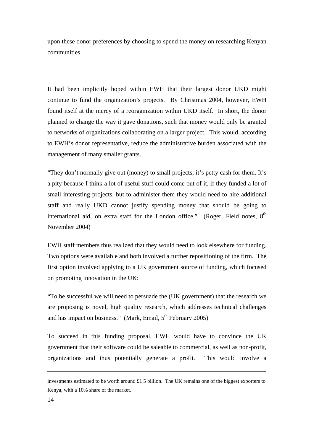upon these donor preferences by choosing to spend the money on researching Kenyan communities.

It had been implicitly hoped within EWH that their largest donor UKD might continue to fund the organization's projects. By Christmas 2004, however, EWH found itself at the mercy of a reorganization within UKD itself. In short, the donor planned to change the way it gave donations, such that money would only be granted to networks of organizations collaborating on a larger project. This would, according to EWH's donor representative, reduce the administrative burden associated with the management of many smaller grants.

"They don't normally give out (money) to small projects; it's petty cash for them. It's a pity because I think a lot of useful stuff could come out of it, if they funded a lot of small interesting projects, but to administer them they would need to hire additional staff and really UKD cannot justify spending money that should be going to international aid, on extra staff for the London office." (Roger, Field notes,  $8<sup>th</sup>$ November 2004)

EWH staff members thus realized that they would need to look elsewhere for funding. Two options were available and both involved a further repositioning of the firm. The first option involved applying to a UK government source of funding, which focused on promoting innovation in the UK:

"To be successful we will need to persuade the (UK government) that the research we are proposing is novel, high quality research, which addresses technical challenges and has impact on business." (Mark, Email,  $5<sup>th</sup>$  February 2005)

To succeed in this funding proposal, EWH would have to convince the UK government that their software could be saleable to commercial, as well as non-profit, organizations and thus potentially generate a profit. This would involve a

1

investments estimated to be worth around  $\pounds$ 1.5 billion. The UK remains one of the biggest exporters to Kenya, with a 10% share of the market.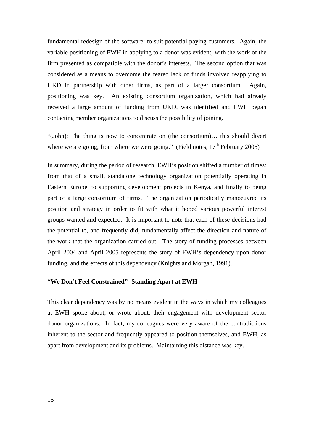fundamental redesign of the software: to suit potential paying customers. Again, the variable positioning of EWH in applying to a donor was evident, with the work of the firm presented as compatible with the donor's interests. The second option that was considered as a means to overcome the feared lack of funds involved reapplying to UKD in partnership with other firms, as part of a larger consortium. Again, positioning was key. An existing consortium organization, which had already received a large amount of funding from UKD, was identified and EWH began contacting member organizations to discuss the possibility of joining.

"(John): The thing is now to concentrate on (the consortium)… this should divert where we are going, from where we were going." (Field notes,  $17<sup>th</sup>$  February 2005)

In summary, during the period of research, EWH's position shifted a number of times: from that of a small, standalone technology organization potentially operating in Eastern Europe, to supporting development projects in Kenya, and finally to being part of a large consortium of firms. The organization periodically manoeuvred its position and strategy in order to fit with what it hoped various powerful interest groups wanted and expected. It is important to note that each of these decisions had the potential to, and frequently did, fundamentally affect the direction and nature of the work that the organization carried out. The story of funding processes between April 2004 and April 2005 represents the story of EWH's dependency upon donor funding, and the effects of this dependency (Knights and Morgan, 1991).

## **"We Don't Feel Constrained"- Standing Apart at EWH**

This clear dependency was by no means evident in the ways in which my colleagues at EWH spoke about, or wrote about, their engagement with development sector donor organizations. In fact, my colleagues were very aware of the contradictions inherent to the sector and frequently appeared to position themselves, and EWH, as apart from development and its problems. Maintaining this distance was key.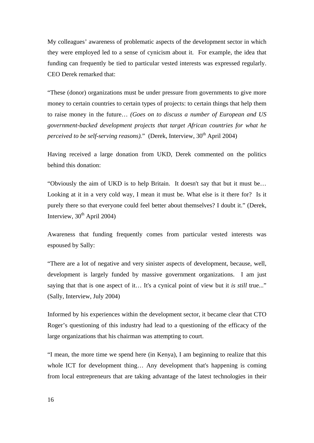My colleagues' awareness of problematic aspects of the development sector in which they were employed led to a sense of cynicism about it. For example, the idea that funding can frequently be tied to particular vested interests was expressed regularly. CEO Derek remarked that:

"These (donor) organizations must be under pressure from governments to give more money to certain countries to certain types of projects: to certain things that help them to raise money in the future… *(Goes on to discuss a number of European and US government-backed development projects that target African countries for what he perceived to be self-serving reasons).*" (Derek, Interview, 30<sup>th</sup> April 2004)

Having received a large donation from UKD, Derek commented on the politics behind this donation:

"Obviously the aim of UKD is to help Britain. It doesn't say that but it must be… Looking at it in a very cold way, I mean it must be. What else is it there for? Is it purely there so that everyone could feel better about themselves? I doubt it." (Derek, Interview,  $30<sup>th</sup>$  April 2004)

Awareness that funding frequently comes from particular vested interests was espoused by Sally:

"There are a lot of negative and very sinister aspects of development, because, well, development is largely funded by massive government organizations. I am just saying that that is one aspect of it... It's a cynical point of view but it *is still* true..." (Sally, Interview, July 2004)

Informed by his experiences within the development sector, it became clear that CTO Roger's questioning of this industry had lead to a questioning of the efficacy of the large organizations that his chairman was attempting to court.

"I mean, the more time we spend here (in Kenya), I am beginning to realize that this whole ICT for development thing... Any development that's happening is coming from local entrepreneurs that are taking advantage of the latest technologies in their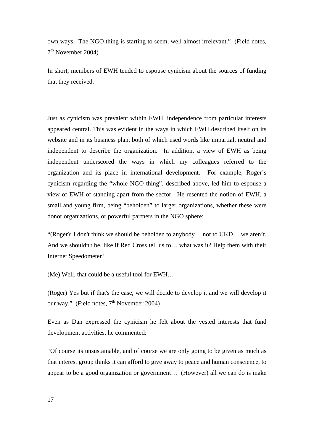own ways. The NGO thing is starting to seem, well almost irrelevant." (Field notes,  $7<sup>th</sup>$  November 2004)

In short, members of EWH tended to espouse cynicism about the sources of funding that they received.

Just as cynicism was prevalent within EWH, independence from particular interests appeared central. This was evident in the ways in which EWH described itself on its website and in its business plan, both of which used words like impartial, neutral and independent to describe the organization. In addition, a view of EWH as being independent underscored the ways in which my colleagues referred to the organization and its place in international development. For example, Roger's cynicism regarding the "whole NGO thing", described above, led him to espouse a view of EWH of standing apart from the sector. He resented the notion of EWH, a small and young firm, being "beholden" to larger organizations, whether these were donor organizations, or powerful partners in the NGO sphere:

"(Roger): I don't think we should be beholden to anybody… not to UKD… we aren't. And we shouldn't be, like if Red Cross tell us to… what was it? Help them with their Internet Speedometer?

(Me) Well, that could be a useful tool for EWH…

(Roger) Yes but if that's the case, we will decide to develop it and we will develop it our way." (Field notes,  $7<sup>th</sup>$  November 2004)

Even as Dan expressed the cynicism he felt about the vested interests that fund development activities, he commented:

"Of course its unsustainable, and of course we are only going to be given as much as that interest group thinks it can afford to give away to peace and human conscience, to appear to be a good organization or government… (However) all we can do is make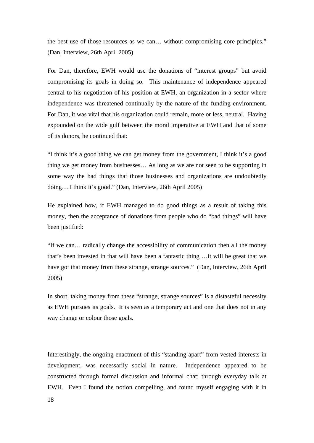the best use of those resources as we can… without compromising core principles." (Dan, Interview, 26th April 2005)

For Dan, therefore, EWH would use the donations of "interest groups" but avoid compromising its goals in doing so. This maintenance of independence appeared central to his negotiation of his position at EWH, an organization in a sector where independence was threatened continually by the nature of the funding environment. For Dan, it was vital that his organization could remain, more or less, neutral. Having expounded on the wide gulf between the moral imperative at EWH and that of some of its donors, he continued that:

"I think it's a good thing we can get money from the government, I think it's a good thing we get money from businesses… As long as we are not seen to be supporting in some way the bad things that those businesses and organizations are undoubtedly doing… I think it's good." (Dan, Interview, 26th April 2005)

He explained how, if EWH managed to do good things as a result of taking this money, then the acceptance of donations from people who do "bad things" will have been justified:

"If we can… radically change the accessibility of communication then all the money that's been invested in that will have been a fantastic thing …it will be great that we have got that money from these strange, strange sources." (Dan, Interview, 26th April 2005)

In short, taking money from these "strange, strange sources" is a distasteful necessity as EWH pursues its goals. It is seen as a temporary act and one that does not in any way change or colour those goals.

Interestingly, the ongoing enactment of this "standing apart" from vested interests in development, was necessarily social in nature. Independence appeared to be constructed through formal discussion and informal chat: through everyday talk at EWH. Even I found the notion compelling, and found myself engaging with it in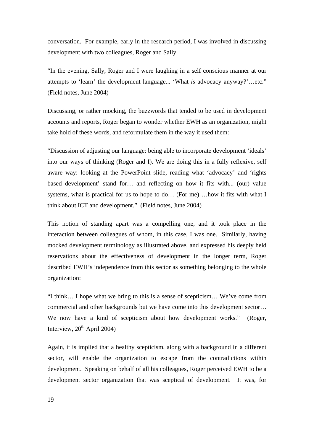conversation. For example, early in the research period, I was involved in discussing development with two colleagues, Roger and Sally.

"In the evening, Sally, Roger and I were laughing in a self conscious manner at our attempts to 'learn' the development language... 'What *is* advocacy anyway?'…etc." (Field notes, June 2004)

Discussing, or rather mocking, the buzzwords that tended to be used in development accounts and reports, Roger began to wonder whether EWH as an organization, might take hold of these words, and reformulate them in the way it used them:

"Discussion of adjusting our language: being able to incorporate development 'ideals' into our ways of thinking (Roger and I). We are doing this in a fully reflexive, self aware way: looking at the PowerPoint slide, reading what 'advocacy' and 'rights based development' stand for… and reflecting on how it fits with... (our) value systems, what is practical for us to hope to do… (For me) …how it fits with what I think about ICT and development." (Field notes, June 2004)

This notion of standing apart was a compelling one, and it took place in the interaction between colleagues of whom, in this case, I was one. Similarly, having mocked development terminology as illustrated above, and expressed his deeply held reservations about the effectiveness of development in the longer term, Roger described EWH's independence from this sector as something belonging to the whole organization:

"I think… I hope what we bring to this is a sense of scepticism… We've come from commercial and other backgrounds but we have come into this development sector… We now have a kind of scepticism about how development works." (Roger, Interview,  $20^{th}$  April 2004)

Again, it is implied that a healthy scepticism, along with a background in a different sector, will enable the organization to escape from the contradictions within development. Speaking on behalf of all his colleagues, Roger perceived EWH to be a development sector organization that was sceptical of development. It was, for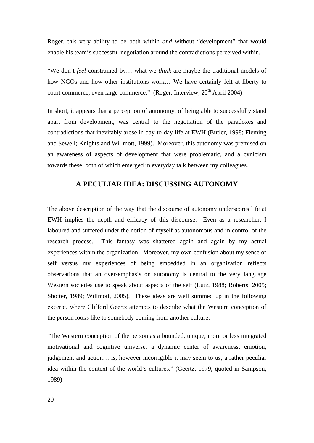Roger, this very ability to be both within *and* without "development" that would enable his team's successful negotiation around the contradictions perceived within.

"We don't *feel* constrained by… what we *think* are maybe the traditional models of how NGOs and how other institutions work… We have certainly felt at liberty to court commerce, even large commerce." (Roger, Interview,  $20<sup>th</sup>$  April 2004)

In short, it appears that a perception of autonomy, of being able to successfully stand apart from development, was central to the negotiation of the paradoxes and contradictions that inevitably arose in day-to-day life at EWH (Butler, 1998; Fleming and Sewell; Knights and Willmott, 1999). Moreover, this autonomy was premised on an awareness of aspects of development that were problematic, and a cynicism towards these, both of which emerged in everyday talk between my colleagues.

# **A PECULIAR IDEA: DISCUSSING AUTONOMY**

The above description of the way that the discourse of autonomy underscores life at EWH implies the depth and efficacy of this discourse. Even as a researcher, I laboured and suffered under the notion of myself as autonomous and in control of the research process. This fantasy was shattered again and again by my actual experiences within the organization. Moreover, my own confusion about my sense of self versus my experiences of being embedded in an organization reflects observations that an over-emphasis on autonomy is central to the very language Western societies use to speak about aspects of the self (Lutz, 1988; Roberts, 2005; Shotter, 1989; Willmott, 2005). These ideas are well summed up in the following excerpt, where Clifford Geertz attempts to describe what the Western conception of the person looks like to somebody coming from another culture:

"The Western conception of the person as a bounded, unique, more or less integrated motivational and cognitive universe, a dynamic center of awareness, emotion, judgement and action… is, however incorrigible it may seem to us, a rather peculiar idea within the context of the world's cultures." (Geertz, 1979, quoted in Sampson, 1989)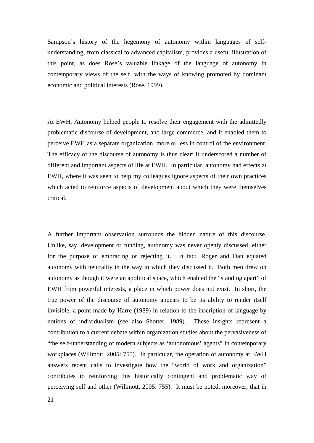Sampson's history of the hegemony of autonomy within languages of selfunderstanding, from classical to advanced capitalism, provides a useful illustration of this point, as does Rose's valuable linkage of the language of autonomy in contemporary views of the self, with the ways of knowing promoted by dominant economic and political interests (Rose, 1999).

At EWH, Autonomy helped people to resolve their engagement with the admittedly problematic discourse of development, and large commerce, and it enabled them to perceive EWH as a separate organization, more or less in control of the environment. The efficacy of the discourse of autonomy is thus clear; it underscored a number of different and important aspects of life at EWH. In particular, autonomy had effects at EWH, where it was seen to help my colleagues ignore aspects of their own practices which acted to reinforce aspects of development about which they were themselves critical.

A further important observation surrounds the hidden nature of this discourse. Unlike, say, development or funding, autonomy was never openly discussed, either for the purpose of embracing or rejecting it. In fact, Roger and Dan equated autonomy with neutrality in the way in which they discussed it. Both men drew on autonomy as though it were an apolitical space, which enabled the "standing apart" of EWH from powerful interests, a place in which power does not exist. In short, the true power of the discourse of autonomy appears to be its ability to render itself invisible, a point made by Harre (1989) in relation to the inscription of language by notions of individualism (see also Shotter, 1989). These insights represent a contribution to a current debate within organization studies about the pervasiveness of "the self-understanding of modern subjects as 'autonomous' agents" in contemporary workplaces (Willmott, 2005: 755). In particular, the operation of autonomy at EWH answers recent calls to investigate how the "world of work and organization" contributes to reinforcing this historically contingent and problematic way of perceiving self and other (Willmott, 2005: 755). It must be noted, moreover, that in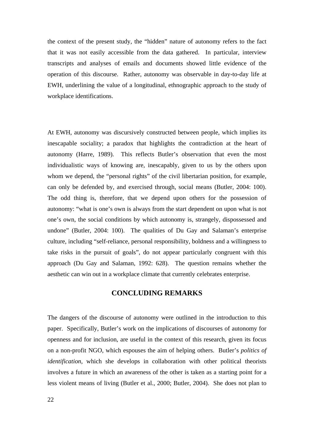the context of the present study, the "hidden" nature of autonomy refers to the fact that it was not easily accessible from the data gathered. In particular, interview transcripts and analyses of emails and documents showed little evidence of the operation of this discourse. Rather, autonomy was observable in day-to-day life at EWH, underlining the value of a longitudinal, ethnographic approach to the study of workplace identifications.

At EWH, autonomy was discursively constructed between people, which implies its inescapable sociality; a paradox that highlights the contradiction at the heart of autonomy (Harre, 1989). This reflects Butler's observation that even the most individualistic ways of knowing are, inescapably, given to us by the others upon whom we depend, the "personal rights" of the civil libertarian position, for example, can only be defended by, and exercised through, social means (Butler, 2004: 100). The odd thing is, therefore, that we depend upon others for the possession of autonomy: "what is one's own is always from the start dependent on upon what is not one's own, the social conditions by which autonomy is, strangely, dispossessed and undone" (Butler, 2004: 100). The qualities of Du Gay and Salaman's enterprise culture, including "self-reliance, personal responsibility, boldness and a willingness to take risks in the pursuit of goals", do not appear particularly congruent with this approach (Du Gay and Salaman, 1992: 628). The question remains whether the aesthetic can win out in a workplace climate that currently celebrates enterprise.

# **CONCLUDING REMARKS**

The dangers of the discourse of autonomy were outlined in the introduction to this paper. Specifically, Butler's work on the implications of discourses of autonomy for openness and for inclusion, are useful in the context of this research, given its focus on a non-profit NGO, which espouses the aim of helping others. Butler's *politics of identification*, which she develops in collaboration with other political theorists involves a future in which an awareness of the other is taken as a starting point for a less violent means of living (Butler et al., 2000; Butler, 2004). She does not plan to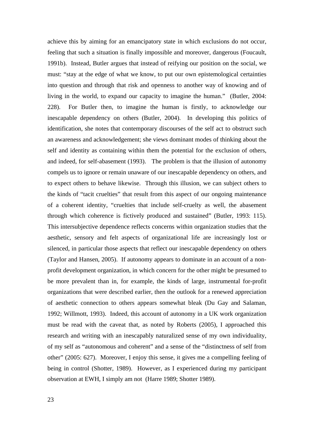achieve this by aiming for an emancipatory state in which exclusions do not occur, feeling that such a situation is finally impossible and moreover, dangerous (Foucault, 1991b). Instead, Butler argues that instead of reifying our position on the social, we must: "stay at the edge of what we know, to put our own epistemological certainties into question and through that risk and openness to another way of knowing and of living in the world, to expand our capacity to imagine the human." (Butler, 2004: 228). For Butler then, to imagine the human is firstly, to acknowledge our inescapable dependency on others (Butler, 2004). In developing this politics of identification, she notes that contemporary discourses of the self act to obstruct such an awareness and acknowledgement; she views dominant modes of thinking about the self and identity as containing within them the potential for the exclusion of others, and indeed, for self-abasement (1993). The problem is that the illusion of autonomy compels us to ignore or remain unaware of our inescapable dependency on others, and to expect others to behave likewise. Through this illusion, we can subject others to the kinds of "tacit cruelties" that result from this aspect of our ongoing maintenance of a coherent identity, "cruelties that include self-cruelty as well, the abasement through which coherence is fictively produced and sustained" (Butler, 1993: 115). This intersubjective dependence reflects concerns within organization studies that the aesthetic, sensory and felt aspects of organizational life are increasingly lost or silenced, in particular those aspects that reflect our inescapable dependency on others (Taylor and Hansen, 2005). If autonomy appears to dominate in an account of a nonprofit development organization, in which concern for the other might be presumed to be more prevalent than in, for example, the kinds of large, instrumental for-profit organizations that were described earlier, then the outlook for a renewed appreciation of aesthetic connection to others appears somewhat bleak (Du Gay and Salaman, 1992; Willmott, 1993). Indeed, this account of autonomy in a UK work organization must be read with the caveat that, as noted by Roberts (2005), I approached this research and writing with an inescapably naturalized sense of my own individuality, of my self as "autonomous and coherent" and a sense of the "distinctness of self from other" (2005: 627). Moreover, I enjoy this sense, it gives me a compelling feeling of being in control (Shotter, 1989). However, as I experienced during my participant observation at EWH, I simply am not (Harre 1989; Shotter 1989).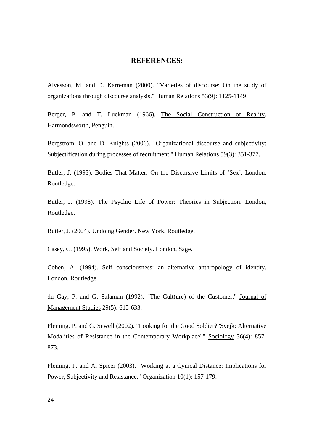## **REFERENCES:**

Alvesson, M. and D. Karreman (2000). "Varieties of discourse: On the study of organizations through discourse analysis." Human Relations 53(9): 1125-1149.

Berger, P. and T. Luckman (1966). The Social Construction of Reality. Harmondsworth, Penguin.

Bergstrom, O. and D. Knights (2006). "Organizational discourse and subjectivity: Subjectification during processes of recruitment." Human Relations 59(3): 351-377.

Butler, J. (1993). Bodies That Matter: On the Discursive Limits of 'Sex'. London, Routledge.

Butler, J. (1998). The Psychic Life of Power: Theories in Subjection. London, Routledge.

Butler, J. (2004). Undoing Gender. New York, Routledge.

Casey, C. (1995). Work, Self and Society. London, Sage.

Cohen, A. (1994). Self consciousness: an alternative anthropology of identity. London, Routledge.

du Gay, P. and G. Salaman (1992). "The Cult(ure) of the Customer." Journal of Management Studies 29(5): 615-633.

Fleming, P. and G. Sewell (2002). "Looking for the Good Soldier? 'Svejk: Alternative Modalities of Resistance in the Contemporary Workplace'." Sociology 36(4): 857- 873.

Fleming, P. and A. Spicer (2003). "Working at a Cynical Distance: Implications for Power, Subjectivity and Resistance." Organization 10(1): 157-179.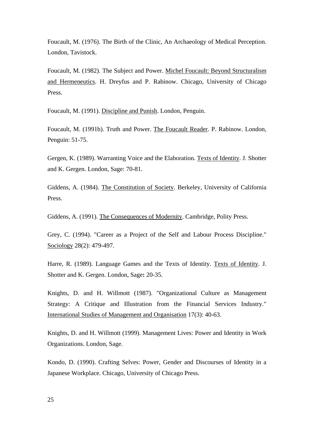Foucault, M. (1976). The Birth of the Clinic, An Archaeology of Medical Perception. London, Tavistock.

Foucault, M. (1982). The Subject and Power. Michel Foucault: Beyond Structuralism and Hermeneutics. H. Dreyfus and P. Rabinow. Chicago, University of Chicago Press.

Foucault, M. (1991). Discipline and Punish. London, Penguin.

Foucault, M. (1991b). Truth and Power. The Foucault Reader. P. Rabinow. London, Penguin: 51-75.

Gergen, K. (1989). Warranting Voice and the Elaboration. Texts of Identity. J. Shotter and K. Gergen. London, Sage: 70-81.

Giddens, A. (1984). The Constitution of Society. Berkeley, University of California Press.

Giddens, A. (1991). The Consequences of Modernity. Cambridge, Polity Press.

Grey, C. (1994). "Career as a Project of the Self and Labour Process Discipline." Sociology 28(2): 479-497.

Harre, R. (1989). Language Games and the Texts of Identity. Texts of Identity. J. Shotter and K. Gergen. London, Sage**:** 20-35.

Knights, D. and H. Willmott (1987). "Organizational Culture as Management Strategy: A Critique and Illustration from the Financial Services Industry." International Studies of Management and Organisation 17(3): 40-63.

Knights, D. and H. Willmott (1999). Management Lives: Power and Identity in Work Organizations. London, Sage.

Kondo, D. (1990). Crafting Selves: Power, Gender and Discourses of Identity in a Japanese Workplace. Chicago, University of Chicago Press.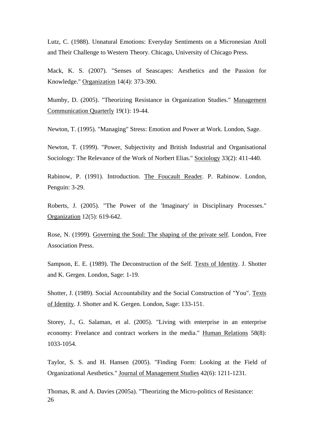Lutz, C. (1988). Unnatural Emotions: Everyday Sentiments on a Micronesian Atoll and Their Challenge to Western Theory. Chicago, University of Chicago Press.

Mack, K. S. (2007). "Senses of Seascapes: Aesthetics and the Passion for Knowledge." Organization 14(4): 373-390.

Mumby, D. (2005). "Theorizing Resistance in Organization Studies." Management Communication Quarterly 19(1): 19-44.

Newton, T. (1995). "Managing" Stress: Emotion and Power at Work. London, Sage.

Newton, T. (1999). "Power, Subjectivity and British Industrial and Organisational Sociology: The Relevance of the Work of Norbert Elias." Sociology 33(2): 411-440.

Rabinow, P. (1991). Introduction. The Foucault Reader. P. Rabinow. London, Penguin: 3-29.

Roberts, J. (2005). "The Power of the 'Imaginary' in Disciplinary Processes." Organization 12(5): 619-642.

Rose, N. (1999). Governing the Soul: The shaping of the private self. London, Free Association Press.

Sampson, E. E. (1989). The Deconstruction of the Self. Texts of Identity. J. Shotter and K. Gergen. London, Sage: 1-19.

Shotter, J. (1989). Social Accountability and the Social Construction of "You". Texts of Identity. J. Shotter and K. Gergen. London, Sage: 133-151.

Storey, J., G. Salaman, et al. (2005). "Living with enterprise in an enterprise economy: Freelance and contract workers in the media." Human Relations 58(8): 1033-1054.

Taylor, S. S. and H. Hansen (2005). "Finding Form: Looking at the Field of Organizational Aesthetics." Journal of Management Studies 42(6): 1211-1231.

26 Thomas, R. and A. Davies (2005a). "Theorizing the Micro-politics of Resistance: